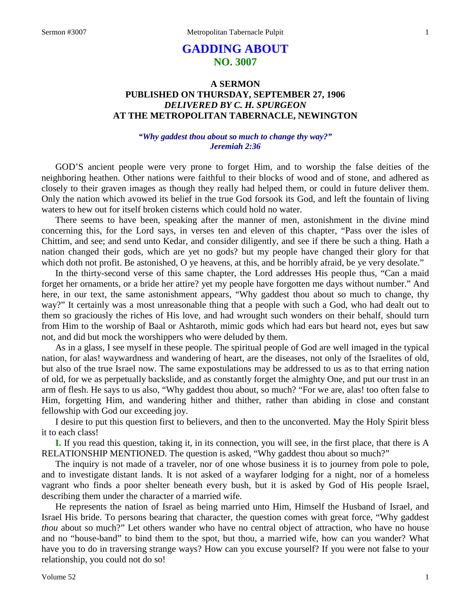# **GADDING ABOUT NO. 3007**

## **A SERMON PUBLISHED ON THURSDAY, SEPTEMBER 27, 1906** *DELIVERED BY C. H. SPURGEON* **AT THE METROPOLITAN TABERNACLE, NEWINGTON**

## *"Why gaddest thou about so much to change thy way?" Jeremiah 2:36*

GOD'S ancient people were very prone to forget Him, and to worship the false deities of the neighboring heathen. Other nations were faithful to their blocks of wood and of stone, and adhered as closely to their graven images as though they really had helped them, or could in future deliver them. Only the nation which avowed its belief in the true God forsook its God, and left the fountain of living waters to hew out for itself broken cisterns which could hold no water.

There seems to have been, speaking after the manner of men, astonishment in the divine mind concerning this, for the Lord says, in verses ten and eleven of this chapter, "Pass over the isles of Chittim, and see; and send unto Kedar, and consider diligently, and see if there be such a thing. Hath a nation changed their gods, which are yet no gods? but my people have changed their glory for that which doth not profit. Be astonished, O ye heavens, at this, and be horribly afraid, be ye very desolate."

In the thirty-second verse of this same chapter, the Lord addresses His people thus, "Can a maid forget her ornaments, or a bride her attire? yet my people have forgotten me days without number." And here, in our text, the same astonishment appears, "Why gaddest thou about so much to change, thy way?" It certainly was a most unreasonable thing that a people with such a God, who had dealt out to them so graciously the riches of His love, and had wrought such wonders on their behalf, should turn from Him to the worship of Baal or Ashtaroth, mimic gods which had ears but heard not, eyes but saw not, and did but mock the worshippers who were deluded by them.

As in a glass, I see myself in these people. The spiritual people of God are well imaged in the typical nation, for alas! waywardness and wandering of heart, are the diseases, not only of the Israelites of old, but also of the true Israel now. The same expostulations may be addressed to us as to that erring nation of old, for we as perpetually backslide, and as constantly forget the almighty One, and put our trust in an arm of flesh. He says to us also, "Why gaddest thou about, so much? "For we are, alas! too often false to Him, forgetting Him, and wandering hither and thither, rather than abiding in close and constant fellowship with God our exceeding joy.

I desire to put this question first to believers, and then to the unconverted. May the Holy Spirit bless it to each class!

**I.** If you read this question, taking it, in its connection, you will see, in the first place, that there is A RELATIONSHIP MENTIONED. The question is asked, "Why gaddest thou about so much?"

The inquiry is not made of a traveler, nor of one whose business it is to journey from pole to pole, and to investigate distant lands. It is not asked of a wayfarer lodging for a night, nor of a homeless vagrant who finds a poor shelter beneath every bush, but it is asked by God of His people Israel, describing them under the character of a married wife.

He represents the nation of Israel as being married unto Him, Himself the Husband of Israel, and Israel His bride. To persons bearing that character, the question comes with great force, "Why gaddest *thou* about so much?" Let others wander who have no central object of attraction, who have no house and no "house-band" to bind them to the spot, but thou, a married wife, how can you wander? What have you to do in traversing strange ways? How can you excuse yourself? If you were not false to your relationship, you could not do so!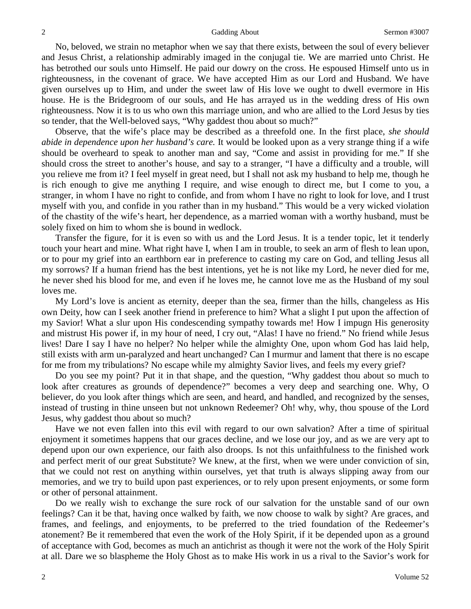No, beloved, we strain no metaphor when we say that there exists, between the soul of every believer and Jesus Christ, a relationship admirably imaged in the conjugal tie. We are married unto Christ. He has betrothed our souls unto Himself. He paid our dowry on the cross. He espoused Himself unto us in righteousness, in the covenant of grace. We have accepted Him as our Lord and Husband. We have given ourselves up to Him, and under the sweet law of His love we ought to dwell evermore in His house. He is the Bridegroom of our souls, and He has arrayed us in the wedding dress of His own righteousness. Now it is to us who own this marriage union, and who are allied to the Lord Jesus by ties so tender, that the Well-beloved says, "Why gaddest thou about so much?"

Observe, that the wife's place may be described as a threefold one. In the first place, *she should abide in dependence upon her husband's care.* It would be looked upon as a very strange thing if a wife should be overheard to speak to another man and say, "Come and assist in providing for me." If she should cross the street to another's house, and say to a stranger, "I have a difficulty and a trouble, will you relieve me from it? I feel myself in great need, but I shall not ask my husband to help me, though he is rich enough to give me anything I require, and wise enough to direct me, but I come to you, a stranger, in whom I have no right to confide, and from whom I have no right to look for love, and I trust myself with you, and confide in you rather than in my husband." This would be a very wicked violation of the chastity of the wife's heart, her dependence, as a married woman with a worthy husband, must be solely fixed on him to whom she is bound in wedlock.

Transfer the figure, for it is even so with us and the Lord Jesus. It is a tender topic, let it tenderly touch your heart and mine. What right have I, when I am in trouble, to seek an arm of flesh to lean upon, or to pour my grief into an earthborn ear in preference to casting my care on God, and telling Jesus all my sorrows? If a human friend has the best intentions, yet he is not like my Lord, he never died for me, he never shed his blood for me, and even if he loves me, he cannot love me as the Husband of my soul loves me.

My Lord's love is ancient as eternity, deeper than the sea, firmer than the hills, changeless as His own Deity, how can I seek another friend in preference to him? What a slight I put upon the affection of my Savior! What a slur upon His condescending sympathy towards me! How I impugn His generosity and mistrust His power if, in my hour of need, I cry out, "Alas! I have no friend." No friend while Jesus lives! Dare I say I have no helper? No helper while the almighty One, upon whom God has laid help, still exists with arm un-paralyzed and heart unchanged? Can I murmur and lament that there is no escape for me from my tribulations? No escape while my almighty Savior lives, and feels my every grief?

Do you see my point? Put it in that shape, and the question, "Why gaddest thou about so much to look after creatures as grounds of dependence?" becomes a very deep and searching one. Why, O believer, do you look after things which are seen, and heard, and handled, and recognized by the senses, instead of trusting in thine unseen but not unknown Redeemer? Oh! why, why, thou spouse of the Lord Jesus, why gaddest thou about so much?

Have we not even fallen into this evil with regard to our own salvation? After a time of spiritual enjoyment it sometimes happens that our graces decline, and we lose our joy, and as we are very apt to depend upon our own experience, our faith also droops. Is not this unfaithfulness to the finished work and perfect merit of our great Substitute? We knew, at the first, when we were under conviction of sin, that we could not rest on anything within ourselves, yet that truth is always slipping away from our memories, and we try to build upon past experiences, or to rely upon present enjoyments, or some form or other of personal attainment.

Do we really wish to exchange the sure rock of our salvation for the unstable sand of our own feelings? Can it be that, having once walked by faith, we now choose to walk by sight? Are graces, and frames, and feelings, and enjoyments, to be preferred to the tried foundation of the Redeemer's atonement? Be it remembered that even the work of the Holy Spirit, if it be depended upon as a ground of acceptance with God, becomes as much an antichrist as though it were not the work of the Holy Spirit at all. Dare we so blaspheme the Holy Ghost as to make His work in us a rival to the Savior's work for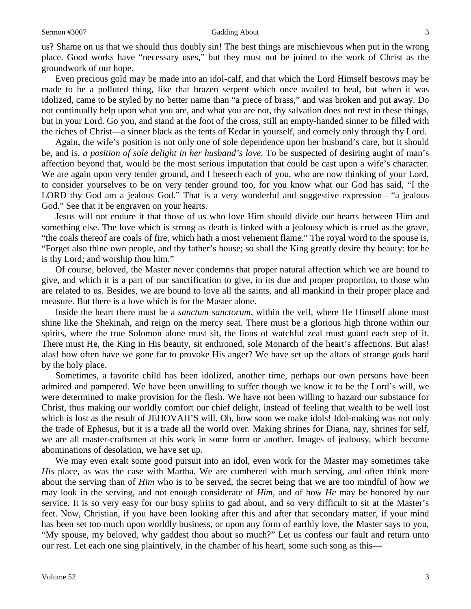us? Shame on us that we should thus doubly sin! The best things are mischievous when put in the wrong place. Good works have "necessary uses," but they must not be joined to the work of Christ as the groundwork of our hope.

Even precious gold may be made into an idol-calf, and that which the Lord Himself bestows may be made to be a polluted thing, like that brazen serpent which once availed to heal, but when it was idolized, came to be styled by no better name than "a piece of brass," and was broken and put away. Do not continually help upon what you are, and what you are not, thy salvation does not rest in these things, but in your Lord. Go you, and stand at the foot of the cross, still an empty-handed sinner to be filled with the riches of Christ—a sinner black as the tents of Kedar in yourself, and comely only through thy Lord.

Again, the wife's position is not only one of sole dependence upon her husband's care, but it should be, and is, *a position of sole delight in her husband's love*. To be suspected of desiring aught of man's affection beyond that, would be the most serious imputation that could be cast upon a wife's character. We are again upon very tender ground, and I beseech each of you, who are now thinking of your Lord, to consider yourselves to be on very tender ground too, for you know what our God has said, "I the LORD thy God am a jealous God." That is a very wonderful and suggestive expression—"a jealous God." See that it be engraven on your hearts.

Jesus will not endure it that those of us who love Him should divide our hearts between Him and something else. The love which is strong as death is linked with a jealousy which is cruel as the grave, "the coals thereof are coals of fire, which hath a most vehement flame." The royal word to the spouse is, "Forget also thine own people, and thy father's house; so shall the King greatly desire thy beauty: for he is thy Lord; and worship thou him."

Of course, beloved, the Master never condemns that proper natural affection which we are bound to give, and which it is a part of our sanctification to give, in its due and proper proportion, to those who are related to us. Besides, we are bound to love all the saints, and all mankind in their proper place and measure. But there is a love which is for the Master alone.

Inside the heart there must be a *sanctum sanctorum,* within the veil, where He Himself alone must shine like the Shekinah, and reign on the mercy seat. There must be a glorious high throne within our spirits, where the true Solomon alone must sit, the lions of watchful zeal must guard each step of it. There must He, the King in His beauty, sit enthroned, sole Monarch of the heart's affections. But alas! alas! how often have we gone far to provoke His anger? We have set up the altars of strange gods hard by the holy place.

Sometimes, a favorite child has been idolized, another time, perhaps our own persons have been admired and pampered. We have been unwilling to suffer though we know it to be the Lord's will, we were determined to make provision for the flesh. We have not been willing to hazard our substance for Christ, thus making our worldly comfort our chief delight, instead of feeling that wealth to be well lost which is lost as the result of JEHOVAH'S will. Oh, how soon we make idols! Idol-making was not only the trade of Ephesus, but it is a trade all the world over. Making shrines for Diana, nay, shrines for self, we are all master-craftsmen at this work in some form or another. Images of jealousy, which become abominations of desolation, we have set up.

We may even exalt some good pursuit into an idol, even work for the Master may sometimes take *His* place, as was the case with Martha. We are cumbered with much serving, and often think more about the serving than of *Him* who is to be served, the secret being that we are too mindful of how *we* may look in the serving, and not enough considerate of *Him,* and of how *He* may be honored by our service. It is so very easy for our busy spirits to gad about, and so very difficult to sit at the Master's feet. Now, Christian, if you have been looking after this and after that secondary matter, if your mind has been set too much upon worldly business, or upon any form of earthly love, the Master says to you, "My spouse, my beloved, why gaddest thou about so much?" Let us confess our fault and return unto our rest. Let each one sing plaintively, in the chamber of his heart, some such song as this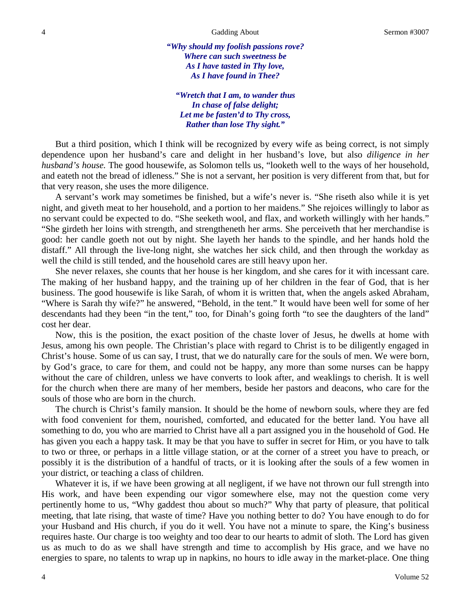*"Why should my foolish passions rove? Where can such sweetness be As I have tasted in Thy love, As I have found in Thee?*

*"Wretch that I am, to wander thus In chase of false delight; Let me be fasten'd to Thy cross, Rather than lose Thy sight."*

But a third position, which I think will be recognized by every wife as being correct, is not simply dependence upon her husband's care and delight in her husband's love, but also *diligence in her husband's house.* The good housewife, as Solomon tells us, "looketh well to the ways of her household, and eateth not the bread of idleness." She is not a servant, her position is very different from that, but for that very reason, she uses the more diligence.

A servant's work may sometimes be finished, but a wife's never is. "She riseth also while it is yet night, and giveth meat to her household, and a portion to her maidens." She rejoices willingly to labor as no servant could be expected to do. "She seeketh wool, and flax, and worketh willingly with her hands." "She girdeth her loins with strength, and strengtheneth her arms. She perceiveth that her merchandise is good: her candle goeth not out by night. She layeth her hands to the spindle, and her hands hold the distaff." All through the live-long night, she watches her sick child, and then through the workday as well the child is still tended, and the household cares are still heavy upon her.

She never relaxes, she counts that her house is her kingdom, and she cares for it with incessant care. The making of her husband happy, and the training up of her children in the fear of God, that is her business. The good housewife is like Sarah, of whom it is written that, when the angels asked Abraham, "Where is Sarah thy wife?" he answered, "Behold, in the tent." It would have been well for some of her descendants had they been "in the tent," too, for Dinah's going forth "to see the daughters of the land" cost her dear.

Now, this is the position, the exact position of the chaste lover of Jesus, he dwells at home with Jesus, among his own people. The Christian's place with regard to Christ is to be diligently engaged in Christ's house. Some of us can say, I trust, that we do naturally care for the souls of men. We were born, by God's grace, to care for them, and could not be happy, any more than some nurses can be happy without the care of children, unless we have converts to look after, and weaklings to cherish. It is well for the church when there are many of her members, beside her pastors and deacons, who care for the souls of those who are born in the church.

The church is Christ's family mansion. It should be the home of newborn souls, where they are fed with food convenient for them, nourished, comforted, and educated for the better land. You have all something to do, you who are married to Christ have all a part assigned you in the household of God. He has given you each a happy task. It may be that you have to suffer in secret for Him, or you have to talk to two or three, or perhaps in a little village station, or at the corner of a street you have to preach, or possibly it is the distribution of a handful of tracts, or it is looking after the souls of a few women in your district, or teaching a class of children.

Whatever it is, if we have been growing at all negligent, if we have not thrown our full strength into His work, and have been expending our vigor somewhere else, may not the question come very pertinently home to us, "Why gaddest thou about so much?" Why that party of pleasure, that political meeting, that late rising, that waste of time? Have you nothing better to do? You have enough to do for your Husband and His church, if you do it well. You have not a minute to spare, the King's business requires haste. Our charge is too weighty and too dear to our hearts to admit of sloth. The Lord has given us as much to do as we shall have strength and time to accomplish by His grace, and we have no energies to spare, no talents to wrap up in napkins, no hours to idle away in the market-place. One thing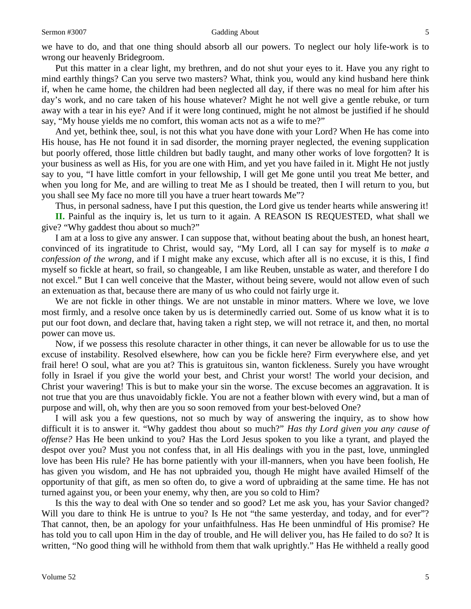#### Sermon #3007 **Gadding About** 5

we have to do, and that one thing should absorb all our powers. To neglect our holy life-work is to wrong our heavenly Bridegroom.

Put this matter in a clear light, my brethren, and do not shut your eyes to it. Have you any right to mind earthly things? Can you serve two masters? What, think you, would any kind husband here think if, when he came home, the children had been neglected all day, if there was no meal for him after his day's work, and no care taken of his house whatever? Might he not well give a gentle rebuke, or turn away with a tear in his eye? And if it were long continued, might he not almost be justified if he should say, "My house yields me no comfort, this woman acts not as a wife to me?"

And yet, bethink thee, soul, is not this what you have done with your Lord? When He has come into His house, has He not found it in sad disorder, the morning prayer neglected, the evening supplication but poorly offered, those little children but badly taught, and many other works of love forgotten? It is your business as well as His, for you are one with Him, and yet you have failed in it. Might He not justly say to you, "I have little comfort in your fellowship, I will get Me gone until you treat Me better, and when you long for Me, and are willing to treat Me as I should be treated, then I will return to you, but you shall see My face no more till you have a truer heart towards Me"?

Thus, in personal sadness, have I put this question, the Lord give us tender hearts while answering it! **II.** Painful as the inquiry is, let us turn to it again. A REASON IS REQUESTED, what shall we give? "Why gaddest thou about so much?"

I am at a loss to give any answer. I can suppose that, without beating about the bush, an honest heart, convinced of its ingratitude to Christ, would say, "My Lord, all I can say for myself is to *make a confession of the wrong,* and if I might make any excuse, which after all is no excuse, it is this, I find myself so fickle at heart, so frail, so changeable, I am like Reuben, unstable as water, and therefore I do not excel." But I can well conceive that the Master, without being severe, would not allow even of such an extenuation as that, because there are many of us who could not fairly urge it.

We are not fickle in other things. We are not unstable in minor matters. Where we love, we love most firmly, and a resolve once taken by us is determinedly carried out. Some of us know what it is to put our foot down, and declare that, having taken a right step, we will not retrace it, and then, no mortal power can move us.

Now, if we possess this resolute character in other things, it can never be allowable for us to use the excuse of instability. Resolved elsewhere, how can you be fickle here? Firm everywhere else, and yet frail here! O soul, what are you at? This is gratuitous sin, wanton fickleness. Surely you have wrought folly in Israel if you give the world your best, and Christ your worst! The world your decision, and Christ your wavering! This is but to make your sin the worse. The excuse becomes an aggravation. It is not true that you are thus unavoidably fickle. You are not a feather blown with every wind, but a man of purpose and will, oh, why then are you so soon removed from your best-beloved One?

I will ask you a few questions, not so much by way of answering the inquiry, as to show how difficult it is to answer it. "Why gaddest thou about so much?" *Has thy Lord given you any cause of offense?* Has He been unkind to you? Has the Lord Jesus spoken to you like a tyrant, and played the despot over you? Must you not confess that, in all His dealings with you in the past, love, unmingled love has been His rule? He has borne patiently with your ill-manners, when you have been foolish, He has given you wisdom, and He has not upbraided you, though He might have availed Himself of the opportunity of that gift, as men so often do, to give a word of upbraiding at the same time. He has not turned against you, or been your enemy, why then, are you so cold to Him?

Is this the way to deal with One so tender and so good? Let me ask you, has your Savior changed? Will you dare to think He is untrue to you? Is He not "the same yesterday, and today, and for ever"? That cannot, then, be an apology for your unfaithfulness. Has He been unmindful of His promise? He has told you to call upon Him in the day of trouble, and He will deliver you, has He failed to do so? It is written, "No good thing will he withhold from them that walk uprightly." Has He withheld a really good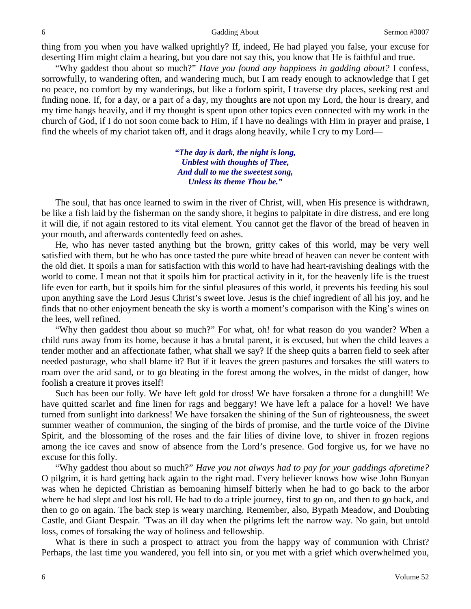thing from you when you have walked uprightly? If, indeed, He had played you false, your excuse for deserting Him might claim a hearing, but you dare not say this, you know that He is faithful and true.

"Why gaddest thou about so much?" *Have you found any happiness in gadding about?* I confess, sorrowfully, to wandering often, and wandering much, but I am ready enough to acknowledge that I get no peace, no comfort by my wanderings, but like a forlorn spirit, I traverse dry places, seeking rest and finding none. If, for a day, or a part of a day, my thoughts are not upon my Lord, the hour is dreary, and my time hangs heavily, and if my thought is spent upon other topics even connected with my work in the church of God, if I do not soon come back to Him, if I have no dealings with Him in prayer and praise, I find the wheels of my chariot taken off, and it drags along heavily, while I cry to my Lord—

> *"The day is dark, the night is long, Unblest with thoughts of Thee, And dull to me the sweetest song, Unless its theme Thou be."*

The soul, that has once learned to swim in the river of Christ, will, when His presence is withdrawn, be like a fish laid by the fisherman on the sandy shore, it begins to palpitate in dire distress, and ere long it will die, if not again restored to its vital element. You cannot get the flavor of the bread of heaven in your mouth, and afterwards contentedly feed on ashes.

He, who has never tasted anything but the brown, gritty cakes of this world, may be very well satisfied with them, but he who has once tasted the pure white bread of heaven can never be content with the old diet. It spoils a man for satisfaction with this world to have had heart-ravishing dealings with the world to come. I mean not that it spoils him for practical activity in it, for the heavenly life is the truest life even for earth, but it spoils him for the sinful pleasures of this world, it prevents his feeding his soul upon anything save the Lord Jesus Christ's sweet love. Jesus is the chief ingredient of all his joy, and he finds that no other enjoyment beneath the sky is worth a moment's comparison with the King's wines on the lees, well refined.

"Why then gaddest thou about so much?" For what, oh! for what reason do you wander? When a child runs away from its home, because it has a brutal parent, it is excused, but when the child leaves a tender mother and an affectionate father, what shall we say? If the sheep quits a barren field to seek after needed pasturage, who shall blame it? But if it leaves the green pastures and forsakes the still waters to roam over the arid sand, or to go bleating in the forest among the wolves, in the midst of danger, how foolish a creature it proves itself!

Such has been our folly. We have left gold for dross! We have forsaken a throne for a dunghill! We have quitted scarlet and fine linen for rags and beggary! We have left a palace for a hovel! We have turned from sunlight into darkness! We have forsaken the shining of the Sun of righteousness, the sweet summer weather of communion, the singing of the birds of promise, and the turtle voice of the Divine Spirit, and the blossoming of the roses and the fair lilies of divine love, to shiver in frozen regions among the ice caves and snow of absence from the Lord's presence. God forgive us, for we have no excuse for this folly.

"Why gaddest thou about so much?" *Have you not always had to pay for your gaddings aforetime?* O pilgrim, it is hard getting back again to the right road. Every believer knows how wise John Bunyan was when he depicted Christian as bemoaning himself bitterly when he had to go back to the arbor where he had slept and lost his roll. He had to do a triple journey, first to go on, and then to go back, and then to go on again. The back step is weary marching. Remember, also, Bypath Meadow, and Doubting Castle, and Giant Despair. 'Twas an ill day when the pilgrims left the narrow way. No gain, but untold loss, comes of forsaking the way of holiness and fellowship.

What is there in such a prospect to attract you from the happy way of communion with Christ? Perhaps, the last time you wandered, you fell into sin, or you met with a grief which overwhelmed you,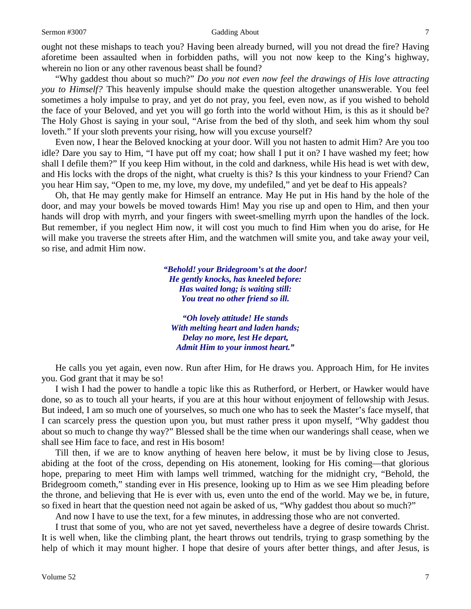ought not these mishaps to teach you? Having been already burned, will you not dread the fire? Having aforetime been assaulted when in forbidden paths, will you not now keep to the King's highway, wherein no lion or any other ravenous beast shall be found?

"Why gaddest thou about so much?" *Do you not even now feel the drawings of His love attracting you to Himself?* This heavenly impulse should make the question altogether unanswerable. You feel sometimes a holy impulse to pray, and yet do not pray, you feel, even now, as if you wished to behold the face of your Beloved, and yet you will go forth into the world without Him, is this as it should be? The Holy Ghost is saying in your soul, "Arise from the bed of thy sloth, and seek him whom thy soul loveth." If your sloth prevents your rising, how will you excuse yourself?

Even now, I hear the Beloved knocking at your door. Will you not hasten to admit Him? Are you too idle? Dare you say to Him, "I have put off my coat; how shall I put it on? I have washed my feet; how shall I defile them?" If you keep Him without, in the cold and darkness, while His head is wet with dew, and His locks with the drops of the night, what cruelty is this? Is this your kindness to your Friend? Can you hear Him say, "Open to me, my love, my dove, my undefiled," and yet be deaf to His appeals?

Oh, that He may gently make for Himself an entrance. May He put in His hand by the hole of the door, and may your bowels be moved towards Him! May you rise up and open to Him, and then your hands will drop with myrrh, and your fingers with sweet-smelling myrrh upon the handles of the lock. But remember, if you neglect Him now, it will cost you much to find Him when you do arise, for He will make you traverse the streets after Him, and the watchmen will smite you, and take away your veil, so rise, and admit Him now.

> *"Behold! your Bridegroom's at the door! He gently knocks, has kneeled before: Has waited long; is waiting still: You treat no other friend so ill.*

*"Oh lovely attitude! He stands With melting heart and laden hands; Delay no more, lest He depart, Admit Him to your inmost heart."*

He calls you yet again, even now. Run after Him, for He draws you. Approach Him, for He invites you. God grant that it may be so!

I wish I had the power to handle a topic like this as Rutherford, or Herbert, or Hawker would have done, so as to touch all your hearts, if you are at this hour without enjoyment of fellowship with Jesus. But indeed, I am so much one of yourselves, so much one who has to seek the Master's face myself, that I can scarcely press the question upon you, but must rather press it upon myself, "Why gaddest thou about so much to change thy way?" Blessed shall be the time when our wanderings shall cease, when we shall see Him face to face, and rest in His bosom!

Till then, if we are to know anything of heaven here below, it must be by living close to Jesus, abiding at the foot of the cross, depending on His atonement, looking for His coming—that glorious hope, preparing to meet Him with lamps well trimmed, watching for the midnight cry, "Behold, the Bridegroom cometh," standing ever in His presence, looking up to Him as we see Him pleading before the throne, and believing that He is ever with us, even unto the end of the world. May we be, in future, so fixed in heart that the question need not again be asked of us, "Why gaddest thou about so much?"

And now I have to use the text, for a few minutes, in addressing those who are not converted.

I trust that some of you, who are not yet saved, nevertheless have a degree of desire towards Christ. It is well when, like the climbing plant, the heart throws out tendrils, trying to grasp something by the help of which it may mount higher. I hope that desire of yours after better things, and after Jesus, is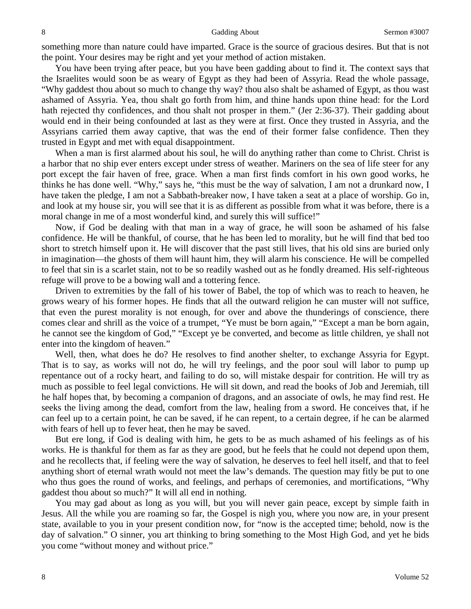something more than nature could have imparted. Grace is the source of gracious desires. But that is not the point. Your desires may be right and yet your method of action mistaken.

You have been trying after peace, but you have been gadding about to find it. The context says that the Israelites would soon be as weary of Egypt as they had been of Assyria. Read the whole passage, "Why gaddest thou about so much to change thy way? thou also shalt be ashamed of Egypt, as thou wast ashamed of Assyria. Yea, thou shalt go forth from him, and thine hands upon thine head: for the Lord hath rejected thy confidences, and thou shalt not prosper in them." (Jer 2:36-37). Their gadding about would end in their being confounded at last as they were at first. Once they trusted in Assyria, and the Assyrians carried them away captive, that was the end of their former false confidence. Then they trusted in Egypt and met with equal disappointment.

When a man is first alarmed about his soul, he will do anything rather than come to Christ. Christ is a harbor that no ship ever enters except under stress of weather. Mariners on the sea of life steer for any port except the fair haven of free, grace. When a man first finds comfort in his own good works, he thinks he has done well. "Why," says he, "this must be the way of salvation, I am not a drunkard now, I have taken the pledge, I am not a Sabbath-breaker now, I have taken a seat at a place of worship. Go in, and look at my house sir, you will see that it is as different as possible from what it was before, there is a moral change in me of a most wonderful kind, and surely this will suffice!"

Now, if God be dealing with that man in a way of grace, he will soon be ashamed of his false confidence. He will be thankful, of course, that he has been led to morality, but he will find that bed too short to stretch himself upon it. He will discover that the past still lives, that his old sins are buried only in imagination—the ghosts of them will haunt him, they will alarm his conscience. He will be compelled to feel that sin is a scarlet stain, not to be so readily washed out as he fondly dreamed. His self-righteous refuge will prove to be a bowing wall and a tottering fence.

Driven to extremities by the fall of his tower of Babel, the top of which was to reach to heaven, he grows weary of his former hopes. He finds that all the outward religion he can muster will not suffice, that even the purest morality is not enough, for over and above the thunderings of conscience, there comes clear and shrill as the voice of a trumpet, "Ye must be born again," "Except a man be born again, he cannot see the kingdom of God," "Except ye be converted, and become as little children, ye shall not enter into the kingdom of heaven."

Well, then, what does he do? He resolves to find another shelter, to exchange Assyria for Egypt. That is to say, as works will not do, he will try feelings, and the poor soul will labor to pump up repentance out of a rocky heart, and failing to do so, will mistake despair for contrition. He will try as much as possible to feel legal convictions. He will sit down, and read the books of Job and Jeremiah, till he half hopes that, by becoming a companion of dragons, and an associate of owls, he may find rest. He seeks the living among the dead, comfort from the law, healing from a sword. He conceives that, if he can feel up to a certain point, he can be saved, if he can repent, to a certain degree, if he can be alarmed with fears of hell up to fever heat, then he may be saved.

But ere long, if God is dealing with him, he gets to be as much ashamed of his feelings as of his works. He is thankful for them as far as they are good, but he feels that he could not depend upon them, and he recollects that, if feeling were the way of salvation, he deserves to feel hell itself, and that to feel anything short of eternal wrath would not meet the law's demands. The question may fitly be put to one who thus goes the round of works, and feelings, and perhaps of ceremonies, and mortifications, "Why gaddest thou about so much?" It will all end in nothing.

You may gad about as long as you will, but you will never gain peace, except by simple faith in Jesus. All the while you are roaming so far, the Gospel is nigh you, where you now are, in your present state, available to you in your present condition now, for "now is the accepted time; behold, now is the day of salvation." O sinner, you art thinking to bring something to the Most High God, and yet he bids you come "without money and without price."